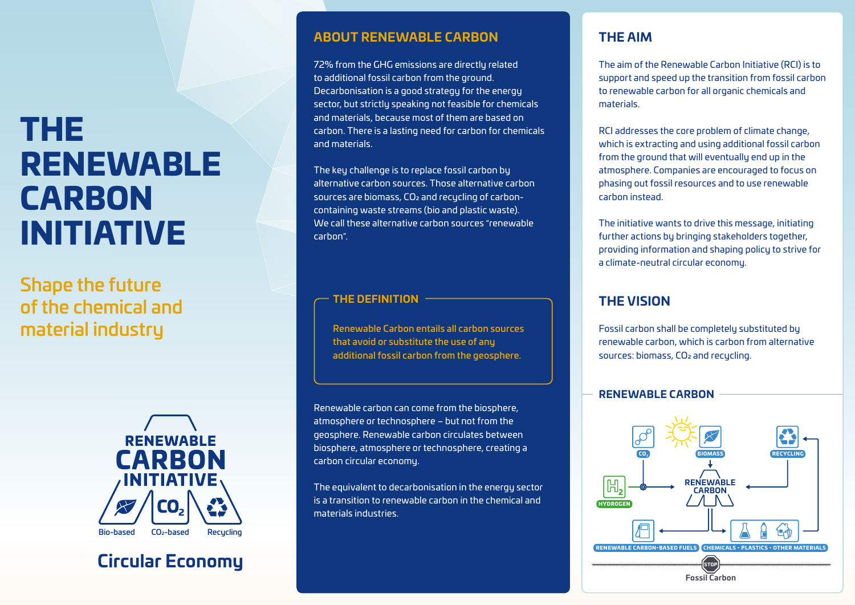# THE RENEWABLE CARBON INITIATIVE

Shape the future of the chemical and material industry



## **Circular Economy**

#### **ABOUT RENEWABLE CARBON**

72% from the GHG emissions are directly related to additional fossil carbon from the ground. Decarbonisation is a good strategy for the energy sector, but strictly speaking not feasible for chemicals and materials, because most of them are based on carbon. There is a lasting need for carbon for chemicals and materials.

The key challenge is to replace fossil carbon by alternative carbon sources. Those alternative carbon sources are biomass, CO2 and recycling of carboncontaining waste streams (bio and plastic waste). We call these alternative carbon sources "renewable carbon".

#### **THE DEFINITION**

Renewable Carbon entails all carbon sources that avoid or substitute the use of any additional fossil carbon from the geosphere.

Renewable carbon can come from the biosphere, atmosphere or technosphere – but not from the geosphere. Renewable carbon circulates between biosphere, atmosphere or technosphere, creating a carbon circular economy.

The equivalent to decarbonisation in the energy sector is a transition to renewable carbon in the chemical and materials industries.

### **THE AIM**

The aim of the Renewable Carbon Initiative (RCI) is to support and speed up the transition from fossil carbon to renewable carbon for all organic chemicals and materials.

RCI addresses the core problem of climate change, which is extracting and using additional fossil carbon from the ground that will eventually end up in the atmosphere. Companies are encouraged to focus on phasing out fossil resources and to use renewable carbon instead.

The initiative wants to drive this message, initiating further actions by bringing stakeholders together, providing information and shaping policy to strive for a climate-neutral circular economy.

### **THE VISION**

Fossil carbon shall be completely substituted by renewable carbon, which is carbon from alternative sources: biomass, CO<sub>2</sub> and recycling.

#### **RENEWABLE CARBON**